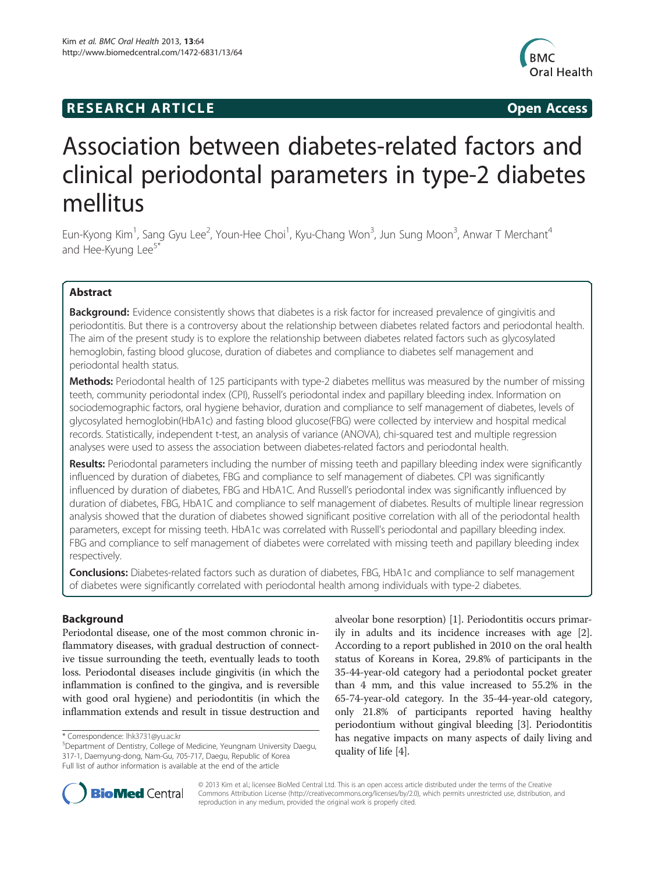# **RESEARCH ARTICLE Example 2014 12:30 The SEAR CHA RESEARCH ARTICLE**



# Association between diabetes-related factors and clinical periodontal parameters in type-2 diabetes mellitus

Eun-Kyong Kim<sup>1</sup>, Sang Gyu Lee<sup>2</sup>, Youn-Hee Choi<sup>1</sup>, Kyu-Chang Won<sup>3</sup>, Jun Sung Moon<sup>3</sup>, Anwar T Merchant<sup>4</sup> and Hee-Kyung Lee<sup>5\*</sup>

# Abstract

Background: Evidence consistently shows that diabetes is a risk factor for increased prevalence of gingivitis and periodontitis. But there is a controversy about the relationship between diabetes related factors and periodontal health. The aim of the present study is to explore the relationship between diabetes related factors such as glycosylated hemoglobin, fasting blood glucose, duration of diabetes and compliance to diabetes self management and periodontal health status.

Methods: Periodontal health of 125 participants with type-2 diabetes mellitus was measured by the number of missing teeth, community periodontal index (CPI), Russell's periodontal index and papillary bleeding index. Information on sociodemographic factors, oral hygiene behavior, duration and compliance to self management of diabetes, levels of glycosylated hemoglobin(HbA1c) and fasting blood glucose(FBG) were collected by interview and hospital medical records. Statistically, independent t-test, an analysis of variance (ANOVA), chi-squared test and multiple regression analyses were used to assess the association between diabetes-related factors and periodontal health.

Results: Periodontal parameters including the number of missing teeth and papillary bleeding index were significantly influenced by duration of diabetes, FBG and compliance to self management of diabetes. CPI was significantly influenced by duration of diabetes, FBG and HbA1C. And Russell's periodontal index was significantly influenced by duration of diabetes, FBG, HbA1C and compliance to self management of diabetes. Results of multiple linear regression analysis showed that the duration of diabetes showed significant positive correlation with all of the periodontal health parameters, except for missing teeth. HbA1c was correlated with Russell's periodontal and papillary bleeding index. FBG and compliance to self management of diabetes were correlated with missing teeth and papillary bleeding index respectively.

**Conclusions:** Diabetes-related factors such as duration of diabetes, FBG, HbA1c and compliance to self management of diabetes were significantly correlated with periodontal health among individuals with type-2 diabetes.

# Background

Periodontal disease, one of the most common chronic inflammatory diseases, with gradual destruction of connective tissue surrounding the teeth, eventually leads to tooth loss. Periodontal diseases include gingivitis (in which the inflammation is confined to the gingiva, and is reversible with good oral hygiene) and periodontitis (in which the inflammation extends and result in tissue destruction and

alveolar bone resorption) [[1\]](#page-6-0). Periodontitis occurs primarily in adults and its incidence increases with age [[2](#page-6-0)]. According to a report published in 2010 on the oral health status of Koreans in Korea, 29.8% of participants in the 35-44-year-old category had a periodontal pocket greater than 4 mm, and this value increased to 55.2% in the 65-74-year-old category. In the 35-44-year-old category, only 21.8% of participants reported having healthy periodontium without gingival bleeding [\[3](#page-6-0)]. Periodontitis has negative impacts on many aspects of daily living and quality of life [[4](#page-6-0)].



© 2013 Kim et al.; licensee BioMed Central Ltd. This is an open access article distributed under the terms of the Creative Commons Attribution License [\(http://creativecommons.org/licenses/by/2.0\)](http://creativecommons.org/licenses/by/2.0), which permits unrestricted use, distribution, and reproduction in any medium, provided the original work is properly cited.

<sup>\*</sup> Correspondence: [lhk3731@yu.ac.kr](mailto:lhk3731@yu.ac.kr) <sup>5</sup>

Department of Dentistry, College of Medicine, Yeungnam University Daegu, 317-1, Daemyung-dong, Nam-Gu, 705-717, Daegu, Republic of Korea Full list of author information is available at the end of the article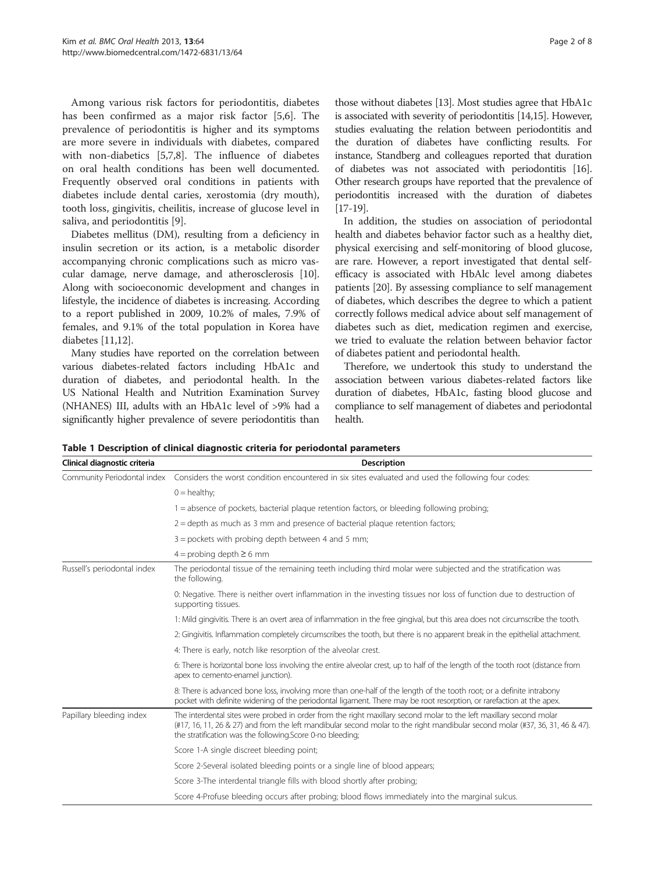<span id="page-1-0"></span>Among various risk factors for periodontitis, diabetes has been confirmed as a major risk factor [[5,6\]](#page-6-0). The prevalence of periodontitis is higher and its symptoms are more severe in individuals with diabetes, compared with non-diabetics [[5,7,8\]](#page-6-0). The influence of diabetes on oral health conditions has been well documented. Frequently observed oral conditions in patients with diabetes include dental caries, xerostomia (dry mouth), tooth loss, gingivitis, cheilitis, increase of glucose level in saliva, and periodontitis [\[9\]](#page-6-0).

Diabetes mellitus (DM), resulting from a deficiency in insulin secretion or its action, is a metabolic disorder accompanying chronic complications such as micro vascular damage, nerve damage, and atherosclerosis [[10](#page-6-0)]. Along with socioeconomic development and changes in lifestyle, the incidence of diabetes is increasing. According to a report published in 2009, 10.2% of males, 7.9% of females, and 9.1% of the total population in Korea have diabetes [[11,12](#page-6-0)].

Many studies have reported on the correlation between various diabetes-related factors including HbA1c and duration of diabetes, and periodontal health. In the US National Health and Nutrition Examination Survey (NHANES) III, adults with an HbA1c level of >9% had a significantly higher prevalence of severe periodontitis than those without diabetes [[13](#page-6-0)]. Most studies agree that HbA1c is associated with severity of periodontitis [\[14,15](#page-6-0)]. However, studies evaluating the relation between periodontitis and the duration of diabetes have conflicting results. For instance, Standberg and colleagues reported that duration of diabetes was not associated with periodontitis [\[16](#page-6-0)]. Other research groups have reported that the prevalence of periodontitis increased with the duration of diabetes [[17](#page-6-0)-[19\]](#page-6-0).

In addition, the studies on association of periodontal health and diabetes behavior factor such as a healthy diet, physical exercising and self-monitoring of blood glucose, are rare. However, a report investigated that dental selfefficacy is associated with HbAlc level among diabetes patients [\[20\]](#page-6-0). By assessing compliance to self management of diabetes, which describes the degree to which a patient correctly follows medical advice about self management of diabetes such as diet, medication regimen and exercise, we tried to evaluate the relation between behavior factor of diabetes patient and periodontal health.

Therefore, we undertook this study to understand the association between various diabetes-related factors like duration of diabetes, HbA1c, fasting blood glucose and compliance to self management of diabetes and periodontal health.

| Clinical diagnostic criteria | <b>Description</b>                                                                                                                                                                                                                                                                                                 |  |  |  |  |  |  |
|------------------------------|--------------------------------------------------------------------------------------------------------------------------------------------------------------------------------------------------------------------------------------------------------------------------------------------------------------------|--|--|--|--|--|--|
| Community Periodontal index  | Considers the worst condition encountered in six sites evaluated and used the following four codes:                                                                                                                                                                                                                |  |  |  |  |  |  |
|                              | $0 =$ healthy;                                                                                                                                                                                                                                                                                                     |  |  |  |  |  |  |
|                              | 1 = absence of pockets, bacterial plague retention factors, or bleeding following probing;                                                                                                                                                                                                                         |  |  |  |  |  |  |
|                              | $2 =$ depth as much as 3 mm and presence of bacterial plaque retention factors;                                                                                                                                                                                                                                    |  |  |  |  |  |  |
|                              | $3 =$ pockets with probing depth between 4 and 5 mm;                                                                                                                                                                                                                                                               |  |  |  |  |  |  |
|                              | $4 =$ probing depth $\geq 6$ mm                                                                                                                                                                                                                                                                                    |  |  |  |  |  |  |
| Russell's periodontal index  | The periodontal tissue of the remaining teeth including third molar were subjected and the stratification was<br>the following.                                                                                                                                                                                    |  |  |  |  |  |  |
|                              | 0: Negative. There is neither overt inflammation in the investing tissues nor loss of function due to destruction of<br>supporting tissues.                                                                                                                                                                        |  |  |  |  |  |  |
|                              | 1: Mild gingivitis. There is an overt area of inflammation in the free gingival, but this area does not circumscribe the tooth.                                                                                                                                                                                    |  |  |  |  |  |  |
|                              | 2: Gingivitis. Inflammation completely circumscribes the tooth, but there is no apparent break in the epithelial attachment.                                                                                                                                                                                       |  |  |  |  |  |  |
|                              | 4: There is early, notch like resorption of the alveolar crest.                                                                                                                                                                                                                                                    |  |  |  |  |  |  |
|                              | 6: There is horizontal bone loss involving the entire alveolar crest, up to half of the length of the tooth root (distance from<br>apex to cemento-enamel junction).                                                                                                                                               |  |  |  |  |  |  |
|                              | 8: There is advanced bone loss, involving more than one-half of the length of the tooth root; or a definite intrabony<br>pocket with definite widening of the periodontal ligament. There may be root resorption, or rarefaction at the apex.                                                                      |  |  |  |  |  |  |
| Papillary bleeding index     | The interdental sites were probed in order from the right maxillary second molar to the left maxillary second molar<br>(#17, 16, 11, 26 & 27) and from the left mandibular second molar to the right mandibular second molar (#37, 36, 31, 46 & 47).<br>the stratification was the following. Score 0-no bleeding; |  |  |  |  |  |  |
|                              | Score 1-A single discreet bleeding point;                                                                                                                                                                                                                                                                          |  |  |  |  |  |  |
|                              | Score 2-Several isolated bleeding points or a single line of blood appears;                                                                                                                                                                                                                                        |  |  |  |  |  |  |
|                              | Score 3-The interdental triangle fills with blood shortly after probing;                                                                                                                                                                                                                                           |  |  |  |  |  |  |
|                              | Score 4-Profuse bleeding occurs after probing; blood flows immediately into the marginal sulcus.                                                                                                                                                                                                                   |  |  |  |  |  |  |

Table 1 Description of clinical diagnostic criteria for periodontal parameters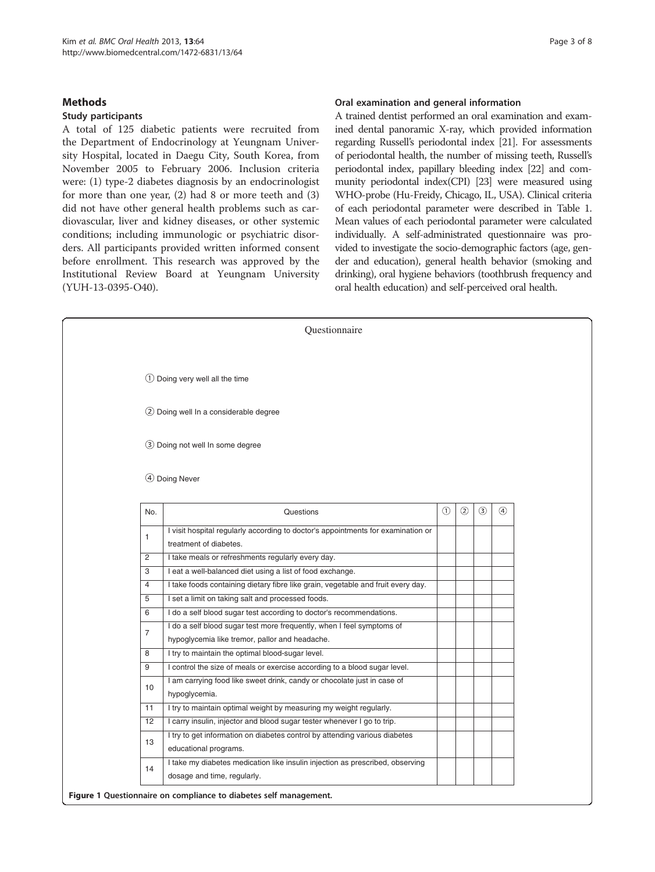# <span id="page-2-0"></span>**Methods**

#### Study participants

A total of 125 diabetic patients were recruited from the Department of Endocrinology at Yeungnam University Hospital, located in Daegu City, South Korea, from November 2005 to February 2006. Inclusion criteria were: (1) type-2 diabetes diagnosis by an endocrinologist for more than one year, (2) had 8 or more teeth and (3) did not have other general health problems such as cardiovascular, liver and kidney diseases, or other systemic conditions; including immunologic or psychiatric disorders. All participants provided written informed consent before enrollment. This research was approved by the Institutional Review Board at Yeungnam University (YUH-13-0395-O40).

#### Oral examination and general information

A trained dentist performed an oral examination and examined dental panoramic X-ray, which provided information regarding Russell's periodontal index [[21\]](#page-6-0). For assessments of periodontal health, the number of missing teeth, Russell's periodontal index, papillary bleeding index [\[22](#page-6-0)] and community periodontal index(CPI) [\[23\]](#page-6-0) were measured using WHO-probe (Hu-Freidy, Chicago, IL, USA). Clinical criteria of each periodontal parameter were described in Table [1](#page-1-0). Mean values of each periodontal parameter were calculated individually. A self-administrated questionnaire was provided to investigate the socio-demographic factors (age, gender and education), general health behavior (smoking and drinking), oral hygiene behaviors (toothbrush frequency and oral health education) and self-perceived oral health.

|                | Questionnaire                                                                                                           |               |                |               |               |
|----------------|-------------------------------------------------------------------------------------------------------------------------|---------------|----------------|---------------|---------------|
|                |                                                                                                                         |               |                |               |               |
|                | $\bigcirc$ Doing very well all the time                                                                                 |               |                |               |               |
|                | 2 Doing well In a considerable degree                                                                                   |               |                |               |               |
|                | 3 Doing not well In some degree                                                                                         |               |                |               |               |
|                | 4 Doing Never                                                                                                           |               |                |               |               |
| No.            | Questions                                                                                                               | $\circled{1}$ | $^{\circledR}$ | $\circled{3}$ | $\circled{4}$ |
| 1              | I visit hospital regularly according to doctor's appointments for examination or<br>treatment of diabetes.              |               |                |               |               |
| 2              | I take meals or refreshments regularly every day.                                                                       |               |                |               |               |
| 3              | I eat a well-balanced diet using a list of food exchange.                                                               |               |                |               |               |
| $\overline{4}$ | I take foods containing dietary fibre like grain, vegetable and fruit every day.                                        |               |                |               |               |
| 5              | I set a limit on taking salt and processed foods.                                                                       |               |                |               |               |
| 6              | I do a self blood sugar test according to doctor's recommendations.                                                     |               |                |               |               |
| $\overline{7}$ | I do a self blood sugar test more frequently, when I feel symptoms of<br>hypoglycemia like tremor, pallor and headache. |               |                |               |               |
| 8              | I try to maintain the optimal blood-sugar level.                                                                        |               |                |               |               |
| 9              | I control the size of meals or exercise according to a blood sugar level.                                               |               |                |               |               |
| 10             | I am carrying food like sweet drink, candy or chocolate just in case of<br>hypoglycemia.                                |               |                |               |               |
| 11             | I try to maintain optimal weight by measuring my weight regularly.                                                      |               |                |               |               |
| 12             | I carry insulin, injector and blood sugar tester whenever I go to trip.                                                 |               |                |               |               |
| 13             | I try to get information on diabetes control by attending various diabetes<br>educational programs.                     |               |                |               |               |
| 14             | I take my diabetes medication like insulin injection as prescribed, observing<br>dosage and time, regularly.            |               |                |               |               |
|                | Figure 1 Questionnaire on compliance to diabetes self management.                                                       |               |                |               |               |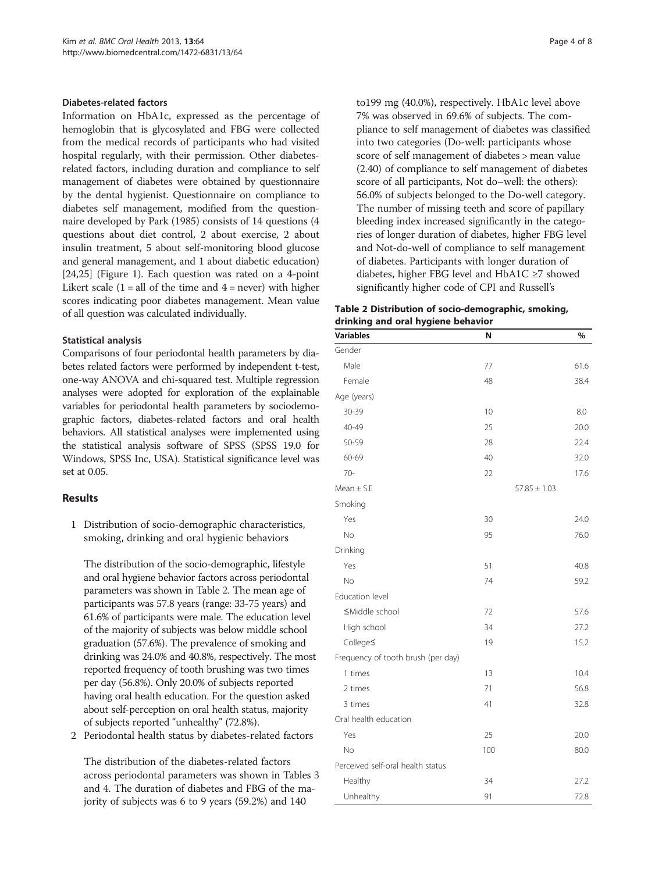## Diabetes-related factors

Information on HbA1c, expressed as the percentage of hemoglobin that is glycosylated and FBG were collected from the medical records of participants who had visited hospital regularly, with their permission. Other diabetesrelated factors, including duration and compliance to self management of diabetes were obtained by questionnaire by the dental hygienist. Questionnaire on compliance to diabetes self management, modified from the questionnaire developed by Park (1985) consists of 14 questions (4 questions about diet control, 2 about exercise, 2 about insulin treatment, 5 about self-monitoring blood glucose and general management, and 1 about diabetic education) [[24,25](#page-6-0)] (Figure [1](#page-2-0)). Each question was rated on a 4-point Likert scale  $(1 = all of the time and 4 = never)$  with higher scores indicating poor diabetes management. Mean value of all question was calculated individually.

#### Statistical analysis

Comparisons of four periodontal health parameters by diabetes related factors were performed by independent t-test, one-way ANOVA and chi-squared test. Multiple regression analyses were adopted for exploration of the explainable variables for periodontal health parameters by sociodemographic factors, diabetes-related factors and oral health behaviors. All statistical analyses were implemented using the statistical analysis software of SPSS (SPSS 19.0 for Windows, SPSS Inc, USA). Statistical significance level was set at 0.05.

#### Results

1 Distribution of socio-demographic characteristics, smoking, drinking and oral hygienic behaviors

The distribution of the socio-demographic, lifestyle and oral hygiene behavior factors across periodontal parameters was shown in Table 2. The mean age of participants was 57.8 years (range: 33-75 years) and 61.6% of participants were male. The education level of the majority of subjects was below middle school graduation (57.6%). The prevalence of smoking and drinking was 24.0% and 40.8%, respectively. The most reported frequency of tooth brushing was two times per day (56.8%). Only 20.0% of subjects reported having oral health education. For the question asked about self-perception on oral health status, majority of subjects reported "unhealthy" (72.8%).

2 Periodontal health status by diabetes-related factors

The distribution of the diabetes-related factors across periodontal parameters was shown in Tables [3](#page-4-0) and [4.](#page-4-0) The duration of diabetes and FBG of the majority of subjects was 6 to 9 years (59.2%) and 140

to199 mg (40.0%), respectively. HbA1c level above 7% was observed in 69.6% of subjects. The compliance to self management of diabetes was classified into two categories (Do-well: participants whose score of self management of diabetes > mean value (2.40) of compliance to self management of diabetes score of all participants, Not do–well: the others): 56.0% of subjects belonged to the Do-well category. The number of missing teeth and score of papillary bleeding index increased significantly in the categories of longer duration of diabetes, higher FBG level and Not-do-well of compliance to self management of diabetes. Participants with longer duration of diabetes, higher FBG level and HbA1C ≥7 showed significantly higher code of CPI and Russell's

| Table 2 Distribution of socio-demographic, smoking, |  |
|-----------------------------------------------------|--|
| drinking and oral hygiene behavior                  |  |

| <b>Variables</b>                   | N   | %                |
|------------------------------------|-----|------------------|
| Gender                             |     |                  |
| Male                               | 77  | 61.6             |
| Female                             | 48  | 38.4             |
| Age (years)                        |     |                  |
| 30-39                              | 10  | 8.0              |
| 40-49                              | 25  | 20.0             |
| 50-59                              | 28  | 22.4             |
| 60-69                              | 40  | 32.0             |
| $70-$                              | 22  | 17.6             |
| Mean $\pm$ S.E                     |     | $57.85 \pm 1.03$ |
| Smoking                            |     |                  |
| Yes                                | 30  | 24.0             |
| <b>No</b>                          | 95  | 76.0             |
| Drinking                           |     |                  |
| Yes                                | 51  | 40.8             |
| <b>No</b>                          | 74  | 59.2             |
| Education level                    |     |                  |
| ≤Middle school                     | 72  | 57.6             |
| High school                        | 34  | 27.2             |
| College≤                           | 19  | 15.2             |
| Frequency of tooth brush (per day) |     |                  |
| 1 times                            | 13  | 10.4             |
| 2 times                            | 71  | 56.8             |
| 3 times                            | 41  | 32.8             |
| Oral health education              |     |                  |
| Yes                                | 25  | 20.0             |
| No                                 | 100 | 80.0             |
| Perceived self-oral health status  |     |                  |
| Healthy                            | 34  | 27.2             |
| Unhealthy                          | 91  | 72.8             |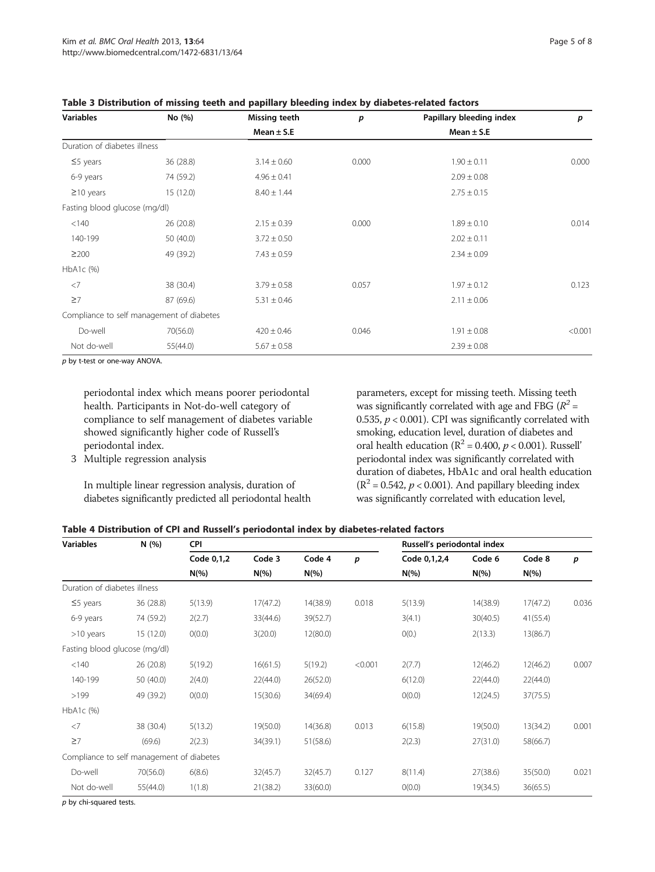| <b>Variables</b>              | No (%)                                    | Missing teeth   | p     | Papillary bleeding index | p       |
|-------------------------------|-------------------------------------------|-----------------|-------|--------------------------|---------|
|                               |                                           | Mean $\pm$ S.E  |       | Mean $\pm$ S.E           |         |
| Duration of diabetes illness  |                                           |                 |       |                          |         |
| $\leq$ years                  | 36 (28.8)                                 | $3.14 \pm 0.60$ | 0.000 | $1.90 \pm 0.11$          | 0.000   |
| 6-9 years                     | 74 (59.2)                                 | $4.96 \pm 0.41$ |       | $2.09 \pm 0.08$          |         |
| $\geq$ 10 years               | 15(12.0)                                  | $8.40 \pm 1.44$ |       | $2.75 \pm 0.15$          |         |
| Fasting blood glucose (mg/dl) |                                           |                 |       |                          |         |
| < 140                         | 26 (20.8)                                 | $2.15 \pm 0.39$ | 0.000 | $1.89 \pm 0.10$          | 0.014   |
| 140-199                       | 50 (40.0)                                 | $3.72 \pm 0.50$ |       | $2.02 \pm 0.11$          |         |
| $\geq$ 200                    | 49 (39.2)                                 | $7.43 \pm 0.59$ |       | $2.34 \pm 0.09$          |         |
| HbA1c (%)                     |                                           |                 |       |                          |         |
| $<$ 7                         | 38 (30.4)                                 | $3.79 \pm 0.58$ | 0.057 | $1.97 \pm 0.12$          | 0.123   |
| $\geq 7$                      | 87 (69.6)                                 | $5.31 \pm 0.46$ |       | $2.11 \pm 0.06$          |         |
|                               | Compliance to self management of diabetes |                 |       |                          |         |
| Do-well                       | 70(56.0)                                  | $420 \pm 0.46$  | 0.046 | $1.91 \pm 0.08$          | < 0.001 |
| Not do-well                   | 55(44.0)                                  | $5.67 \pm 0.58$ |       | $2.39 \pm 0.08$          |         |

<span id="page-4-0"></span>Table 3 Distribution of missing teeth and papillary bleeding index by diabetes-related factors

p by t-test or one-way ANOVA.

periodontal index which means poorer periodontal health. Participants in Not-do-well category of compliance to self management of diabetes variable showed significantly higher code of Russell's periodontal index.

3 Multiple regression analysis

In multiple linear regression analysis, duration of diabetes significantly predicted all periodontal health parameters, except for missing teeth. Missing teeth was significantly correlated with age and FBG ( $R^2$  = 0.535,  $p < 0.001$ ). CPI was significantly correlated with smoking, education level, duration of diabetes and oral health education ( $R^2$  = 0.400,  $p$  < 0.001). Russell' periodontal index was significantly correlated with duration of diabetes, HbA1c and oral health education  $(R^2 = 0.542, p < 0.001)$ . And papillary bleeding index was significantly correlated with education level,

| Table 4 Distribution of CPI and Russell's periodontal index by diabetes-related factors |  |  |  |
|-----------------------------------------------------------------------------------------|--|--|--|
|                                                                                         |  |  |  |

| <b>Variables</b>                          | N(%)      | CPI        |          |          |                  | Russell's periodontal index |          |          |       |  |
|-------------------------------------------|-----------|------------|----------|----------|------------------|-----------------------------|----------|----------|-------|--|
|                                           |           | Code 0,1,2 | Code 3   | Code 4   | $\boldsymbol{p}$ | Code 0,1,2,4                | Code 6   | Code 8   | p     |  |
|                                           |           | $N(\%)$    | $N(\%)$  | $N(\% )$ |                  | $N(\%)$                     | $N(\% )$ | $N(\%)$  |       |  |
| Duration of diabetes illness              |           |            |          |          |                  |                             |          |          |       |  |
| $\leq$ 5 years                            | 36 (28.8) | 5(13.9)    | 17(47.2) | 14(38.9) | 0.018            | 5(13.9)                     | 14(38.9) | 17(47.2) | 0.036 |  |
| 6-9 years                                 | 74 (59.2) | 2(2.7)     | 33(44.6) | 39(52.7) |                  | 3(4.1)                      | 30(40.5) | 41(55.4) |       |  |
| $>10$ years                               | 15(12.0)  | O(0.0)     | 3(20.0)  | 12(80.0) |                  | O(0.)                       | 2(13.3)  | 13(86.7) |       |  |
| Fasting blood glucose (mg/dl)             |           |            |          |          |                  |                             |          |          |       |  |
| < 140                                     | 26 (20.8) | 5(19.2)    | 16(61.5) | 5(19.2)  | < 0.001          | 2(7.7)                      | 12(46.2) | 12(46.2) | 0.007 |  |
| 140-199                                   | 50 (40.0) | 2(4.0)     | 22(44.0) | 26(52.0) |                  | 6(12.0)                     | 22(44.0) | 22(44.0) |       |  |
| >199                                      | 49 (39.2) | O(0.0)     | 15(30.6) | 34(69.4) |                  | O(0.0)                      | 12(24.5) | 37(75.5) |       |  |
| HbA1c (%)                                 |           |            |          |          |                  |                             |          |          |       |  |
| $<$ 7                                     | 38 (30.4) | 5(13.2)    | 19(50.0) | 14(36.8) | 0.013            | 6(15.8)                     | 19(50.0) | 13(34.2) | 0.001 |  |
| $\geq 7$                                  | (69.6)    | 2(2.3)     | 34(39.1) | 51(58.6) |                  | 2(2.3)                      | 27(31.0) | 58(66.7) |       |  |
| Compliance to self management of diabetes |           |            |          |          |                  |                             |          |          |       |  |
| Do-well                                   | 70(56.0)  | 6(8.6)     | 32(45.7) | 32(45.7) | 0.127            | 8(11.4)                     | 27(38.6) | 35(50.0) | 0.021 |  |
| Not do-well                               | 55(44.0)  | 1(1.8)     | 21(38.2) | 33(60.0) |                  | O(0.0)                      | 19(34.5) | 36(65.5) |       |  |

 $p$  by chi-squared tests.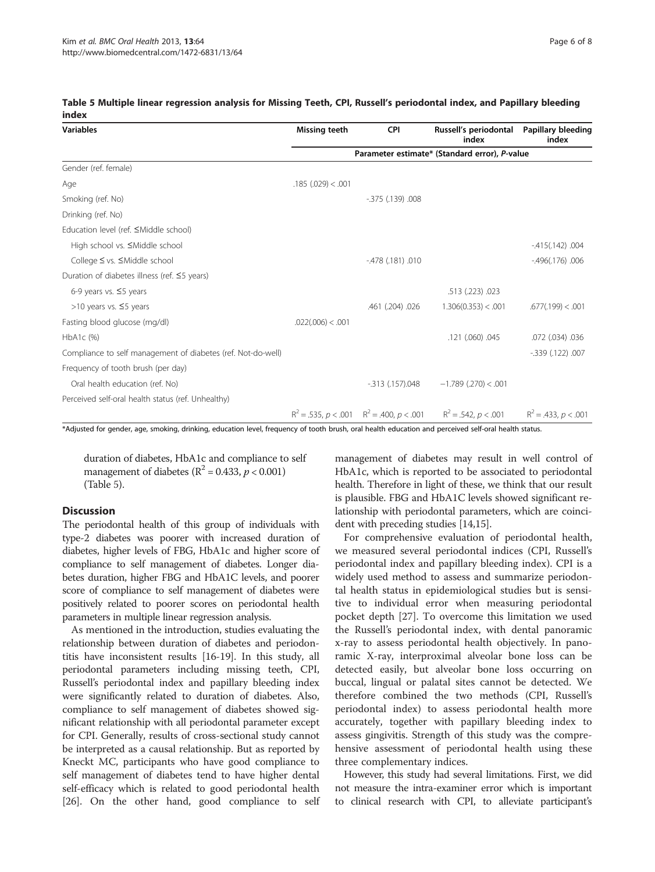| Variables                                                    | <b>Missing teeth</b>                          | <b>CPI</b>           | Russell's periodontal<br>index | Papillary bleeding<br>index |  |  |  |  |
|--------------------------------------------------------------|-----------------------------------------------|----------------------|--------------------------------|-----------------------------|--|--|--|--|
|                                                              | Parameter estimate* (Standard error), P-value |                      |                                |                             |  |  |  |  |
| Gender (ref. female)                                         |                                               |                      |                                |                             |  |  |  |  |
| Age                                                          | .185(.029) < .001                             |                      |                                |                             |  |  |  |  |
| Smoking (ref. No)                                            |                                               | $-375$ (.139) .008   |                                |                             |  |  |  |  |
| Drinking (ref. No)                                           |                                               |                      |                                |                             |  |  |  |  |
| Education level (ref. ≤Middle school)                        |                                               |                      |                                |                             |  |  |  |  |
| High school vs. ≤Middle school                               |                                               |                      |                                | $-415(.142)$ .004           |  |  |  |  |
| College ≤ vs. ≤Middle school                                 |                                               | $-478$ (.181) .010   |                                | $-496(.176)$ .006           |  |  |  |  |
| Duration of diabetes illness (ref. ≤5 years)                 |                                               |                      |                                |                             |  |  |  |  |
| 6-9 years vs. $\leq$ 5 years                                 |                                               |                      | .513 (.223) .023               |                             |  |  |  |  |
| >10 years vs. $\leq$ 5 years                                 |                                               | .461 (.204) .026     | 1.306(0.353) < .001            | .677(.199) < .001           |  |  |  |  |
| Fasting blood glucose (mg/dl)                                | .022(.006) < .001                             |                      |                                |                             |  |  |  |  |
| HbA1c (%)                                                    |                                               |                      | .121 (.060) .045               | .072 (.034) .036            |  |  |  |  |
| Compliance to self management of diabetes (ref. Not-do-well) |                                               |                      |                                | $-0.339$ (.122) .007        |  |  |  |  |
| Frequency of tooth brush (per day)                           |                                               |                      |                                |                             |  |  |  |  |
| Oral health education (ref. No)                              |                                               | $-313$ $(.157)$ .048 | $-1.789$ (.270) < .001         |                             |  |  |  |  |

#### Table 5 Multiple linear regression analysis for Missing Teeth, CPI, Russell's periodontal index, and Papillary bleeding index

\*Adjusted for gender, age, smoking, drinking, education level, frequency of tooth brush, oral health education and perceived self-oral health status.

duration of diabetes, HbA1c and compliance to self management of diabetes ( $\mathbb{R}^2$  = 0.433,  $p < 0.001$ ) (Table 5).

Perceived self-oral health status (ref. Unhealthy)

# **Discussion**

The periodontal health of this group of individuals with type-2 diabetes was poorer with increased duration of diabetes, higher levels of FBG, HbA1c and higher score of compliance to self management of diabetes. Longer diabetes duration, higher FBG and HbA1C levels, and poorer score of compliance to self management of diabetes were positively related to poorer scores on periodontal health parameters in multiple linear regression analysis.

As mentioned in the introduction, studies evaluating the relationship between duration of diabetes and periodontitis have inconsistent results [\[16-19\]](#page-6-0). In this study, all periodontal parameters including missing teeth, CPI, Russell's periodontal index and papillary bleeding index were significantly related to duration of diabetes. Also, compliance to self management of diabetes showed significant relationship with all periodontal parameter except for CPI. Generally, results of cross-sectional study cannot be interpreted as a causal relationship. But as reported by Kneckt MC, participants who have good compliance to self management of diabetes tend to have higher dental self-efficacy which is related to good periodontal health [[26](#page-6-0)]. On the other hand, good compliance to self

management of diabetes may result in well control of HbA1c, which is reported to be associated to periodontal health. Therefore in light of these, we think that our result is plausible. FBG and HbA1C levels showed significant relationship with periodontal parameters, which are coincident with preceding studies [[14,15\]](#page-6-0).

 $R^2 = 0.535$ ,  $p < 0.01$   $R^2 = 0.400$ ,  $p < 0.01$   $R^2 = 0.542$ ,  $p < 0.01$   $R^2 = 0.433$ ,  $p < 0.01$ 

For comprehensive evaluation of periodontal health, we measured several periodontal indices (CPI, Russell's periodontal index and papillary bleeding index). CPI is a widely used method to assess and summarize periodontal health status in epidemiological studies but is sensitive to individual error when measuring periodontal pocket depth [[27\]](#page-7-0). To overcome this limitation we used the Russell's periodontal index, with dental panoramic x-ray to assess periodontal health objectively. In panoramic X-ray, interproximal alveolar bone loss can be detected easily, but alveolar bone loss occurring on buccal, lingual or palatal sites cannot be detected. We therefore combined the two methods (CPI, Russell's periodontal index) to assess periodontal health more accurately, together with papillary bleeding index to assess gingivitis. Strength of this study was the comprehensive assessment of periodontal health using these three complementary indices.

However, this study had several limitations. First, we did not measure the intra-examiner error which is important to clinical research with CPI, to alleviate participant's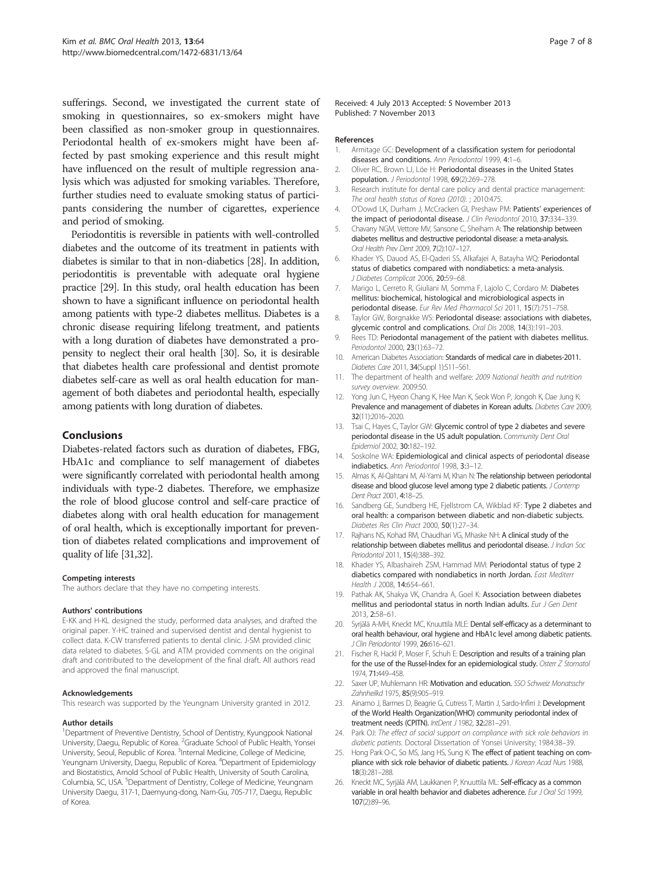<span id="page-6-0"></span>sufferings. Second, we investigated the current state of smoking in questionnaires, so ex-smokers might have been classified as non-smoker group in questionnaires. Periodontal health of ex-smokers might have been affected by past smoking experience and this result might have influenced on the result of multiple regression analysis which was adjusted for smoking variables. Therefore, further studies need to evaluate smoking status of participants considering the number of cigarettes, experience and period of smoking.

Periodontitis is reversible in patients with well-controlled diabetes and the outcome of its treatment in patients with diabetes is similar to that in non-diabetics [[28](#page-7-0)]. In addition, periodontitis is preventable with adequate oral hygiene practice [\[29](#page-7-0)]. In this study, oral health education has been shown to have a significant influence on periodontal health among patients with type-2 diabetes mellitus. Diabetes is a chronic disease requiring lifelong treatment, and patients with a long duration of diabetes have demonstrated a propensity to neglect their oral health [\[30\]](#page-7-0). So, it is desirable that diabetes health care professional and dentist promote diabetes self-care as well as oral health education for management of both diabetes and periodontal health, especially among patients with long duration of diabetes.

### Conclusions

Diabetes-related factors such as duration of diabetes, FBG, HbA1c and compliance to self management of diabetes were significantly correlated with periodontal health among individuals with type-2 diabetes. Therefore, we emphasize the role of blood glucose control and self-care practice of diabetes along with oral health education for management of oral health, which is exceptionally important for prevention of diabetes related complications and improvement of quality of life [\[31,32\]](#page-7-0).

#### Competing interests

The authors declare that they have no competing interests.

#### Authors' contributions

E-KK and H-KL designed the study, performed data analyses, and drafted the original paper. Y-HC trained and supervised dentist and dental hygienist to collect data. K-CW transferred patients to dental clinic. J-SM provided clinic data related to diabetes. S-GL and ATM provided comments on the original draft and contributed to the development of the final draft. All authors read and approved the final manuscript.

#### Acknowledgements

This research was supported by the Yeungnam University granted in 2012.

#### Author details

<sup>1</sup>Department of Preventive Dentistry, School of Dentistry, Kyungpook National University, Daegu, Republic of Korea. <sup>2</sup>Graduate School of Public Health, Yonsei University, Seoul, Republic of Korea. <sup>3</sup>Internal Medicine, College of Medicine, Yeungnam University, Daegu, Republic of Korea. <sup>4</sup>Department of Epidemiology and Biostatistics, Arnold School of Public Health, University of South Carolina, Columbia, SC, USA. <sup>5</sup>Department of Dentistry, College of Medicine, Yeungnam University Daegu, 317-1, Daemyung-dong, Nam-Gu, 705-717, Daegu, Republic of Korea.

#### References

- 1. Armitage GC: Development of a classification system for periodontal diseases and conditions. Ann Periodontol 1999, 4:1-6.
- 2. Oliver RC, Brown LJ, Löe H: Periodontal diseases in the United States population. J Periodontol 1998, 69(2):269–278.
- 3. Research institute for dental care policy and dental practice management: The oral health status of Korea (2010). ; 2010:475.
- 4. O'Dowd LK, Durham J, McCracken GI, Preshaw PM: Patients' experiences of the impact of periodontal disease. J Clin Periodontol 2010, 37:334-339.
- 5. Chavarry NGM, Vettore MV, Sansone C, Sheiham A: The relationship between diabetes mellitus and destructive periodontal disease: a meta-analysis. Oral Health Prev Dent 2009, 7(2):107–127.
- 6. Khader YS, Dauod AS, El-Qaderi SS, Alkafajei A, Batayha WQ: Periodontal status of diabetics compared with nondiabetics: a meta-analysis. J Diabetes Complicat 2006, 20:59–68.
- 7. Marigo L, Cerreto R, Giuliani M, Somma F, Lajolo C, Cordaro M: Diabetes mellitus: biochemical, histological and microbiological aspects in periodontal disease. Eur Rev Med Pharmacol Sci 2011, 15(7):751-758.
- 8. Taylor GW, Borgnakke WS: Periodontal disease: associations with diabetes, glycemic control and complications. Oral Dis 2008, 14(3):191–203.
- 9. Rees TD: Periodontal management of the patient with diabetes mellitus. Periodontol 2000, 23(1):63–72.
- 10. American Diabetes Association: Standards of medical care in diabetes-2011. Diabetes Care 2011, 34(Suppl 1):S11–S61.
- 11. The department of health and welfare: 2009 National health and nutrition survey overview. 2009:50.
- 12. Yong Jun C, Hyeon Chang K, Hee Man K, Seok Won P, Jongoh K, Dae Jung K: Prevalence and management of diabetes in Korean adults. Diabetes Care 2009, 32(11):2016–2020.
- 13. Tsai C, Hayes C, Taylor GW: Glycemic control of type 2 diabetes and severe periodontal disease in the US adult population. Community Dent Oral Epidemiol 2002, 30:182–192.
- 14. Soskolne WA: Epidemiological and clinical aspects of periodontal disease indiabetics. Ann Periodontol 1998, 3:3–12.
- 15. Almas K, Al-Qahtani M, Al-Yami M, Khan N: The relationship between periodontal disease and blood glucose level among type 2 diabetic patients. J Contemp Dent Pract 2001, 4:18–25.
- 16. Sandberg GE, Sundberg HE, Fjellstrom CA, Wikblad KF: Type 2 diabetes and oral health: a comparison between diabetic and non-diabetic subjects. Diabetes Res Clin Pract 2000, 50(1):27–34.
- 17. Rajhans NS, Kohad RM, Chaudhari VG, Mhaske NH: A clinical study of the relationship between diabetes mellitus and periodontal disease. J Indian Soc Periodontol 2011, 15(4):388–392.
- 18. Khader YS, Albashaireh ZSM, Hammad MM: Periodontal status of type 2 diabetics compared with nondiabetics in north Jordan. East Mediterr Health J 2008, 14:654–661.
- 19. Pathak AK, Shakya VK, Chandra A, Goel K: Association between diabetes mellitus and periodontal status in north Indian adults. Eur J Gen Dent 2013, 2:58–61.
- 20. Syrjälä A-MH, Kneckt MC, Knuuttila MLE: Dental self-efficacy as a determinant to oral health behaviour, oral hygiene and HbA1c level among diabetic patients. J Clin Periodontol 1999, 26:616–621.
- 21. Fischer R, Hackl P, Moser F, Schuh E: Description and results of a training plan for the use of the Russel-Index for an epidemiological study. Osterr  $Z$  Stomatol 1974, 71:449–458.
- 22. Saxer UP, Muhlemann HR: Motivation and education. SSO Schweiz Monatsschr Zahnheilkd 1975, 85(9):905–919.
- 23. Ainamo J, Barmes D, Beagrie G, Cutress T, Martin J, Sardo-Infirri J: Development of the World Health Organization(WHO) community periodontal index of treatment needs (CPITN). IntDent J 1982, 32:281–291.
- 24. Park OJ: The effect of social support on compliance with sick role behaviors in diabetic patients. Doctoral Dissertation of Yonsei University; 1984:38–39.
- 25. Hong Park O-C, So MS, Jang HS, Sung K: The effect of patient teaching on compliance with sick role behavior of diabetic patients. J Korean Acad Nurs 1988, 18(3):281–288.
- 26. Kneckt MC, Syrjälä AM, Laukkanen P, Knuuttila ML: Self-efficacy as a common variable in oral health behavior and diabetes adherence. Eur J Oral Sci 1999, 107(2):89–96.